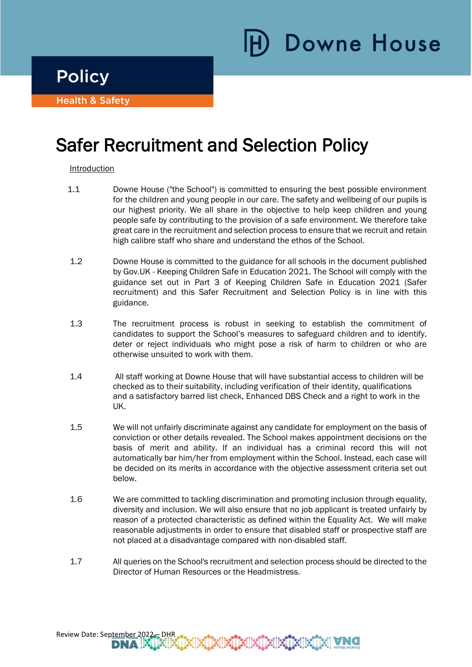**Policy** 

i

Ī

**Health & Safety** 

# Safer Recruitment and Selection Policy

# **Introduction**

- 1.1 Downe House ("the School") is committed to ensuring the best possible environment for the children and young people in our care. The safety and wellbeing of our pupils is our highest priority. We all share in the objective to help keep children and young people safe by contributing to the provision of a safe environment. We therefore take great care in the recruitment and selection process to ensure that we recruit and retain high calibre staff who share and understand the ethos of the School.
- 1.2 Downe House is committed to the guidance for all schools in the document published by Gov.UK - Keeping Children Safe in Education 2021. The School will comply with the guidance set out in Part 3 of Keeping Children Safe in Education 2021 (Safer recruitment) and this Safer Recruitment and Selection Policy is in line with this guidance.
- 1.3 The recruitment process is robust in seeking to establish the commitment of candidates to support the School's measures to safeguard children and to identify, deter or reject individuals who might pose a risk of harm to children or who are otherwise unsuited to work with them.
- 1.4 All staff working at Downe House that will have substantial access to children will be checked as to their suitability, including verification of their identity, qualifications and a satisfactory barred list check, Enhanced DBS Check and a right to work in the UK.
- 1.5 We will not unfairly discriminate against any candidate for employment on the basis of conviction or other details revealed. The School makes appointment decisions on the basis of merit and ability. If an individual has a criminal record this will not automatically bar him/her from employment within the School. Instead, each case will be decided on its merits in accordance with the objective assessment criteria set out below.
- 1.6 We are committed to tackling discrimination and promoting inclusion through equality, diversity and inclusion. We will also ensure that no job applicant is treated unfairly by reason of a protected characteristic as defined within the Equality Act. We will make reasonable adjustments in order to ensure that disabled staff or prospective staff are not placed at a disadvantage compared with non-disabled staff.
- 1.7 All queries on the School's recruitment and selection process should be directed to the Director of Human Resources or the Headmistress.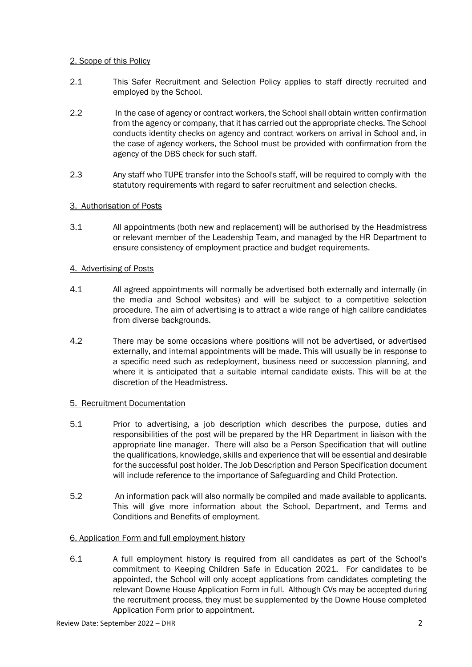## 2. Scope of this Policy

- 2.1 This Safer Recruitment and Selection Policy applies to staff directly recruited and employed by the School.
- 2.2 In the case of agency or contract workers, the School shall obtain written confirmation from the agency or company, that it has carried out the appropriate checks. The School conducts identity checks on agency and contract workers on arrival in School and, in the case of agency workers, the School must be provided with confirmation from the agency of the DBS check for such staff.
- 2.3 Any staff who TUPE transfer into the School's staff, will be required to comply with the statutory requirements with regard to safer recruitment and selection checks.

# 3. Authorisation of Posts

3.1 All appointments (both new and replacement) will be authorised by the Headmistress or relevant member of the Leadership Team, and managed by the HR Department to ensure consistency of employment practice and budget requirements.

## 4. Advertising of Posts

- 4.1 All agreed appointments will normally be advertised both externally and internally (in the media and School websites) and will be subject to a competitive selection procedure. The aim of advertising is to attract a wide range of high calibre candidates from diverse backgrounds.
- 4.2 There may be some occasions where positions will not be advertised, or advertised externally, and internal appointments will be made. This will usually be in response to a specific need such as redeployment, business need or succession planning, and where it is anticipated that a suitable internal candidate exists. This will be at the discretion of the Headmistress.

#### 5. Recruitment Documentation

- 5.1 Prior to advertising, a job description which describes the purpose, duties and responsibilities of the post will be prepared by the HR Department in liaison with the appropriate line manager. There will also be a Person Specification that will outline the qualifications, knowledge, skills and experience that will be essential and desirable for the successful post holder. The Job Description and Person Specification document will include reference to the importance of Safeguarding and Child Protection.
- 5.2 An information pack will also normally be compiled and made available to applicants. This will give more information about the School, Department, and Terms and Conditions and Benefits of employment.

# 6. Application Form and full employment history

6.1 A full employment history is required from all candidates as part of the School's commitment to Keeping Children Safe in Education 2021. For candidates to be appointed, the School will only accept applications from candidates completing the relevant Downe House Application Form in full. Although CVs may be accepted during the recruitment process, they must be supplemented by the Downe House completed Application Form prior to appointment.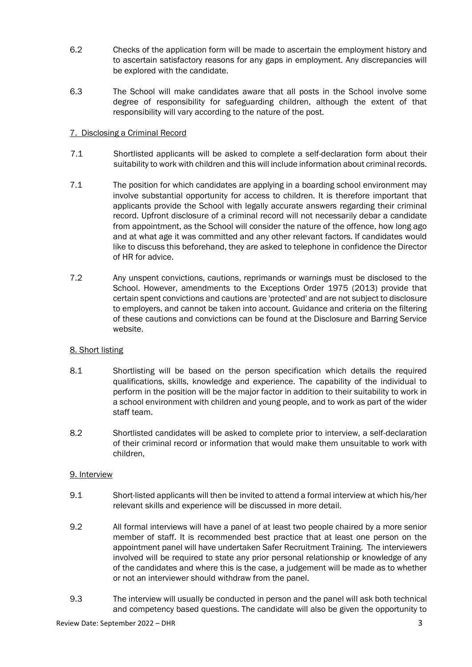- 6.2 Checks of the application form will be made to ascertain the employment history and to ascertain satisfactory reasons for any gaps in employment. Any discrepancies will be explored with the candidate.
- 6.3 The School will make candidates aware that all posts in the School involve some degree of responsibility for safeguarding children, although the extent of that responsibility will vary according to the nature of the post.

## 7. Disclosing a Criminal Record

- 7.1 Shortlisted applicants will be asked to complete a self-declaration form about their suitability to work with children and this will include information about criminal records.
- 7.1 The position for which candidates are applying in a boarding school environment may involve substantial opportunity for access to children. It is therefore important that applicants provide the School with legally accurate answers regarding their criminal record. Upfront disclosure of a criminal record will not necessarily debar a candidate from appointment, as the School will consider the nature of the offence, how long ago and at what age it was committed and any other relevant factors. If candidates would like to discuss this beforehand, they are asked to telephone in confidence the Director of HR for advice.
- 7.2 Any unspent convictions, cautions, reprimands or warnings must be disclosed to the School. However, amendments to the Exceptions Order 1975 (2013) provide that certain spent convictions and cautions are 'protected' and are not subject to disclosure to employers, and cannot be taken into account. Guidance and criteria on the filtering of these cautions and convictions can be found at the Disclosure and Barring Service website.

# 8. Short listing

- 8.1 Shortlisting will be based on the person specification which details the required qualifications, skills, knowledge and experience. The capability of the individual to perform in the position will be the major factor in addition to their suitability to work in a school environment with children and young people, and to work as part of the wider staff team.
- 8.2 Shortlisted candidates will be asked to complete prior to interview, a self-declaration of their criminal record or information that would make them unsuitable to work with children,

# 9. Interview

- 9.1 Short-listed applicants will then be invited to attend a formal interview at which his/her relevant skills and experience will be discussed in more detail.
- 9.2 All formal interviews will have a panel of at least two people chaired by a more senior member of staff. It is recommended best practice that at least one person on the appointment panel will have undertaken Safer Recruitment Training. The interviewers involved will be required to state any prior personal relationship or knowledge of any of the candidates and where this is the case, a judgement will be made as to whether or not an interviewer should withdraw from the panel.
- 9.3 The interview will usually be conducted in person and the panel will ask both technical and competency based questions. The candidate will also be given the opportunity to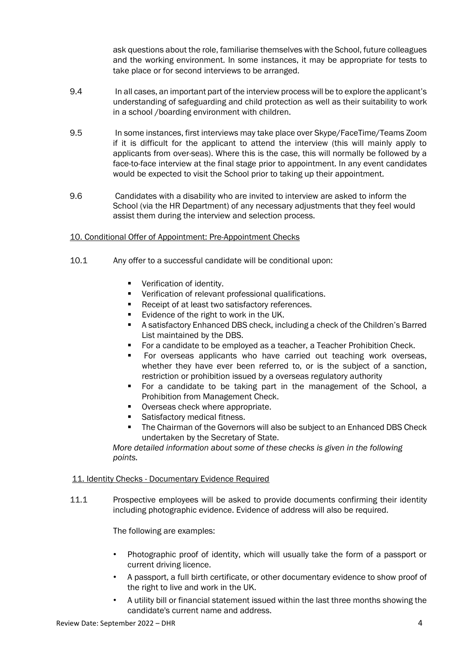ask questions about the role, familiarise themselves with the School, future colleagues and the working environment. In some instances, it may be appropriate for tests to take place or for second interviews to be arranged.

- 9.4 In all cases, an important part of the interview process will be to explore the applicant's understanding of safeguarding and child protection as well as their suitability to work in a school /boarding environment with children.
- 9.5 In some instances, first interviews may take place over Skype/FaceTime/Teams Zoom if it is difficult for the applicant to attend the interview (this will mainly apply to applicants from over-seas). Where this is the case, this will normally be followed by a face-to-face interview at the final stage prior to appointment. In any event candidates would be expected to visit the School prior to taking up their appointment.
- 9.6 Candidates with a disability who are invited to interview are asked to inform the School (via the HR Department) of any necessary adjustments that they feel would assist them during the interview and selection process.

## 10. Conditional Offer of Appointment: Pre-Appointment Checks

- 10.1 Any offer to a successful candidate will be conditional upon:
	- Verification of identity.
	- Verification of relevant professional qualifications.
	- Receipt of at least two satisfactory references.
	- Evidence of the right to work in the UK.
	- A satisfactory Enhanced DBS check, including a check of the Children's Barred List maintained by the DBS.
	- For a candidate to be employed as a teacher, a Teacher Prohibition Check.
	- For overseas applicants who have carried out teaching work overseas, whether they have ever been referred to, or is the subject of a sanction, restriction or prohibition issued by a overseas regulatory authority
	- For a candidate to be taking part in the management of the School, a Prohibition from Management Check.
	- Overseas check where appropriate.
	- Satisfactory medical fitness.
	- **•** The Chairman of the Governors will also be subject to an Enhanced DBS Check undertaken by the Secretary of State.

*More detailed information about some of these checks is given in the following points.* 

#### 11. Identity Checks - Documentary Evidence Required

11.1 Prospective employees will be asked to provide documents confirming their identity including photographic evidence. Evidence of address will also be required.

The following are examples:

- Photographic proof of identity, which will usually take the form of a passport or current driving licence.
- A passport, a full birth certificate, or other documentary evidence to show proof of the right to live and work in the UK.
- A utility bill or financial statement issued within the last three months showing the candidate's current name and address.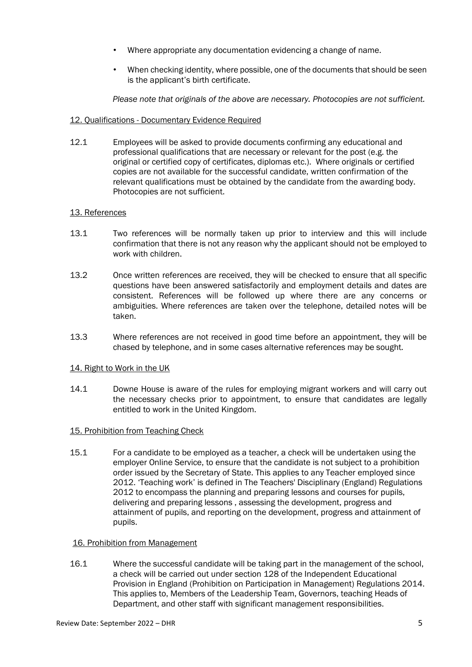- Where appropriate any documentation evidencing a change of name.
- When checking identity, where possible, one of the documents that should be seen is the applicant's birth certificate.

*Please note that originals of the above are necessary. Photocopies are not sufficient.* 

#### 12. Qualifications - Documentary Evidence Required

12.1 Employees will be asked to provide documents confirming any educational and professional qualifications that are necessary or relevant for the post (e.g. the original or certified copy of certificates, diplomas etc.). Where originals or certified copies are not available for the successful candidate, written confirmation of the relevant qualifications must be obtained by the candidate from the awarding body. Photocopies are not sufficient.

#### 13. References

- 13.1 Two references will be normally taken up prior to interview and this will include confirmation that there is not any reason why the applicant should not be employed to work with children.
- 13.2 Once written references are received, they will be checked to ensure that all specific questions have been answered satisfactorily and employment details and dates are consistent. References will be followed up where there are any concerns or ambiguities. Where references are taken over the telephone, detailed notes will be taken.
- 13.3 Where references are not received in good time before an appointment, they will be chased by telephone, and in some cases alternative references may be sought.

#### 14. Right to Work in the UK

14.1 Downe House is aware of the rules for employing migrant workers and will carry out the necessary checks prior to appointment, to ensure that candidates are legally entitled to work in the United Kingdom.

#### 15. Prohibition from Teaching Check

15.1 For a candidate to be employed as a teacher, a check will be undertaken using the employer Online Service, to ensure that the candidate is not subject to a prohibition order issued by the Secretary of State. This applies to any Teacher employed since 2012. 'Teaching work' is defined in The Teachers' Disciplinary (England) Regulations 2012 to encompass the planning and preparing lessons and courses for pupils, delivering and preparing lessons , assessing the development, progress and attainment of pupils, and reporting on the development, progress and attainment of pupils.

#### 16. Prohibition from Management

16.1 Where the successful candidate will be taking part in the management of the school, a check will be carried out under section 128 of the Independent Educational Provision in England (Prohibition on Participation in Management) Regulations 2014. This applies to, Members of the Leadership Team, Governors, teaching Heads of Department, and other staff with significant management responsibilities.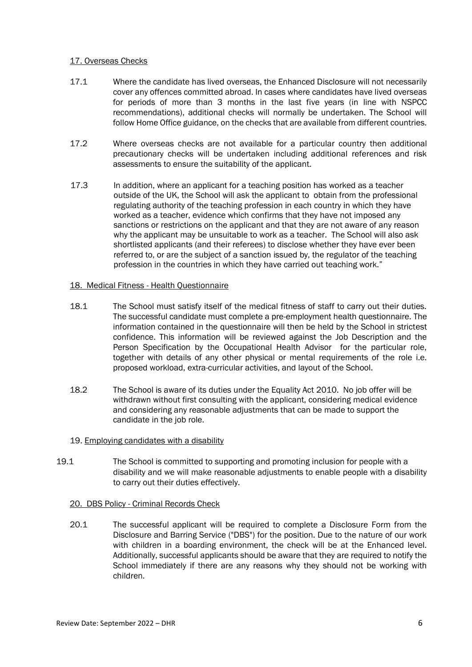## 17. Overseas Checks

- 17.1 Where the candidate has lived overseas, the Enhanced Disclosure will not necessarily cover any offences committed abroad. In cases where candidates have lived overseas for periods of more than 3 months in the last five years (in line with NSPCC recommendations), additional checks will normally be undertaken. The School will follow Home Office guidance, on the checks that are available from different countries.
- 17.2 Where overseas checks are not available for a particular country then additional precautionary checks will be undertaken including additional references and risk assessments to ensure the suitability of the applicant.
- 17.3 In addition, where an applicant for a teaching position has worked as a teacher outside of the UK, the School will ask the applicant to obtain from the professional regulating authority of the teaching profession in each country in which they have worked as a teacher, evidence which confirms that they have not imposed any sanctions or restrictions on the applicant and that they are not aware of any reason why the applicant may be unsuitable to work as a teacher. The School will also ask shortlisted applicants (and their referees) to disclose whether they have ever been referred to, or are the subject of a sanction issued by, the regulator of the teaching profession in the countries in which they have carried out teaching work."

## 18. Medical Fitness - Health Questionnaire

- 18.1 The School must satisfy itself of the medical fitness of staff to carry out their duties. The successful candidate must complete a pre-employment health questionnaire. The information contained in the questionnaire will then be held by the School in strictest confidence. This information will be reviewed against the Job Description and the Person Specification by the Occupational Health Advisor for the particular role, together with details of any other physical or mental requirements of the role i.e. proposed workload, extra-curricular activities, and layout of the School.
- 18.2 The School is aware of its duties under the Equality Act 2010. No job offer will be withdrawn without first consulting with the applicant, considering medical evidence and considering any reasonable adjustments that can be made to support the candidate in the job role.
- 19. Employing candidates with a disability
- 19.1 The School is committed to supporting and promoting inclusion for people with a disability and we will make reasonable adjustments to enable people with a disability to carry out their duties effectively.
	- 20. DBS Policy Criminal Records Check
	- 20.1 The successful applicant will be required to complete a Disclosure Form from the Disclosure and Barring Service ("DBS") for the position. Due to the nature of our work with children in a boarding environment, the check will be at the Enhanced level. Additionally, successful applicants should be aware that they are required to notify the School immediately if there are any reasons why they should not be working with children.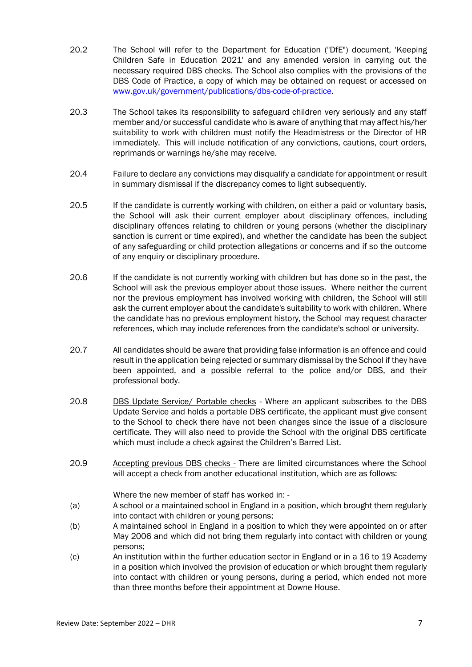- 20.2 The School will refer to the Department for Education ("DfE") document, 'Keeping Children Safe in Education 2021' and any amended version in carrying out the necessary required DBS checks. The School also complies with the provisions of the DBS Code of Practice, a copy of which may be obtained on request or accessed on [www.gov.uk/government/publications/dbs-code-of-practice.](http://www.gov.uk/government/publications/dbs-code-of-practice)
- 20.3 The School takes its responsibility to safeguard children very seriously and any staff member and/or successful candidate who is aware of anything that may affect his/her suitability to work with children must notify the Headmistress or the Director of HR immediately. This will include notification of any convictions, cautions, court orders, reprimands or warnings he/she may receive.
- 20.4 Failure to declare any convictions may disqualify a candidate for appointment or result in summary dismissal if the discrepancy comes to light subsequently.
- 20.5 If the candidate is currently working with children, on either a paid or voluntary basis, the School will ask their current employer about disciplinary offences, including disciplinary offences relating to children or young persons (whether the disciplinary sanction is current or time expired), and whether the candidate has been the subject of any safeguarding or child protection allegations or concerns and if so the outcome of any enquiry or disciplinary procedure.
- 20.6 If the candidate is not currently working with children but has done so in the past, the School will ask the previous employer about those issues. Where neither the current nor the previous employment has involved working with children, the School will still ask the current employer about the candidate's suitability to work with children. Where the candidate has no previous employment history, the School may request character references, which may include references from the candidate's school or university.
- 20.7 All candidates should be aware that providing false information is an offence and could result in the application being rejected or summary dismissal by the School if they have been appointed, and a possible referral to the police and/or DBS, and their professional body.
- 20.8 DBS Update Service/ Portable checks Where an applicant subscribes to the DBS Update Service and holds a portable DBS certificate, the applicant must give consent to the School to check there have not been changes since the issue of a disclosure certificate. They will also need to provide the School with the original DBS certificate which must include a check against the Children's Barred List.
- 20.9 Accepting previous DBS checks There are limited circumstances where the School will accept a check from another educational institution, which are as follows:

Where the new member of staff has worked in: -

- (a) A school or a maintained school in England in a position, which brought them regularly into contact with children or young persons;
- (b) A maintained school in England in a position to which they were appointed on or after May 2006 and which did not bring them regularly into contact with children or young persons;
- (c) An institution within the further education sector in England or in a 16 to 19 Academy in a position which involved the provision of education or which brought them regularly into contact with children or young persons, during a period, which ended not more than three months before their appointment at Downe House.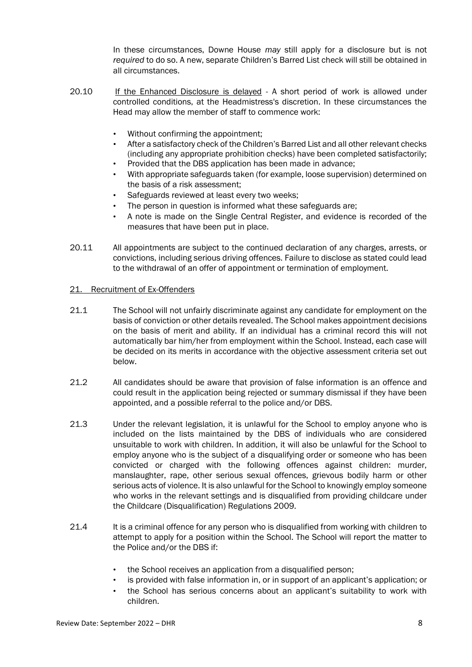In these circumstances, Downe House *may* still apply for a disclosure but is not *required* to do so. A new, separate Children's Barred List check will still be obtained in all circumstances.

- 20.10 If the Enhanced Disclosure is delayed A short period of work is allowed under controlled conditions, at the Headmistress's discretion. In these circumstances the Head may allow the member of staff to commence work:
	- Without confirming the appointment;
	- After a satisfactory check of the Children's Barred List and all other relevant checks (including any appropriate prohibition checks) have been completed satisfactorily;
	- Provided that the DBS application has been made in advance;
	- With appropriate safeguards taken (for example, loose supervision) determined on the basis of a risk assessment;
	- Safeguards reviewed at least every two weeks;
	- The person in question is informed what these safeguards are:
	- A note is made on the Single Central Register, and evidence is recorded of the measures that have been put in place.
- 20.11 All appointments are subject to the continued declaration of any charges, arrests, or convictions, including serious driving offences. Failure to disclose as stated could lead to the withdrawal of an offer of appointment or termination of employment.

#### 21. Recruitment of Ex-Offenders

- 21.1 The School will not unfairly discriminate against any candidate for employment on the basis of conviction or other details revealed. The School makes appointment decisions on the basis of merit and ability. If an individual has a criminal record this will not automatically bar him/her from employment within the School. Instead, each case will be decided on its merits in accordance with the objective assessment criteria set out below.
- 21.2 All candidates should be aware that provision of false information is an offence and could result in the application being rejected or summary dismissal if they have been appointed, and a possible referral to the police and/or DBS.
- 21.3 Under the relevant legislation, it is unlawful for the School to employ anyone who is included on the lists maintained by the DBS of individuals who are considered unsuitable to work with children. In addition, it will also be unlawful for the School to employ anyone who is the subject of a disqualifying order or someone who has been convicted or charged with the following offences against children: murder, manslaughter, rape, other serious sexual offences, grievous bodily harm or other serious acts of violence. It is also unlawful for the School to knowingly employ someone who works in the relevant settings and is disqualified from providing childcare under the Childcare (Disqualification) Regulations 2009.
- 21.4 It is a criminal offence for any person who is disqualified from working with children to attempt to apply for a position within the School. The School will report the matter to the Police and/or the DBS if:
	- the School receives an application from a disqualified person;
	- is provided with false information in, or in support of an applicant's application; or
	- the School has serious concerns about an applicant's suitability to work with children.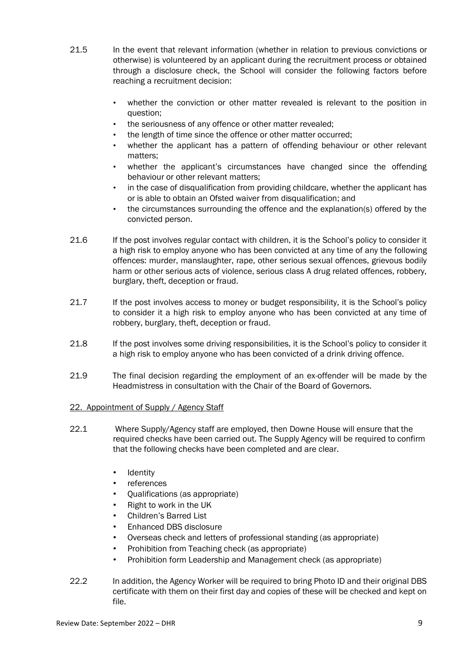- 21.5 In the event that relevant information (whether in relation to previous convictions or otherwise) is volunteered by an applicant during the recruitment process or obtained through a disclosure check, the School will consider the following factors before reaching a recruitment decision:
	- whether the conviction or other matter revealed is relevant to the position in question;
	- the seriousness of any offence or other matter revealed;
	- the length of time since the offence or other matter occurred;
	- whether the applicant has a pattern of offending behaviour or other relevant matters;
	- whether the applicant's circumstances have changed since the offending behaviour or other relevant matters;
	- in the case of disqualification from providing childcare, whether the applicant has or is able to obtain an Ofsted waiver from disqualification; and
	- the circumstances surrounding the offence and the explanation(s) offered by the convicted person.
- 21.6 If the post involves regular contact with children, it is the School's policy to consider it a high risk to employ anyone who has been convicted at any time of any the following offences: murder, manslaughter, rape, other serious sexual offences, grievous bodily harm or other serious acts of violence, serious class A drug related offences, robbery, burglary, theft, deception or fraud.
- 21.7 If the post involves access to money or budget responsibility, it is the School's policy to consider it a high risk to employ anyone who has been convicted at any time of robbery, burglary, theft, deception or fraud.
- 21.8 If the post involves some driving responsibilities, it is the School's policy to consider it a high risk to employ anyone who has been convicted of a drink driving offence.
- 21.9 The final decision regarding the employment of an ex-offender will be made by the Headmistress in consultation with the Chair of the Board of Governors.

# 22. Appointment of Supply / Agency Staff

- 22.1 Where Supply/Agency staff are employed, then Downe House will ensure that the required checks have been carried out. The Supply Agency will be required to confirm that the following checks have been completed and are clear.
	- Identity
	- **references**
	- Qualifications (as appropriate)
	- Right to work in the UK
	- Children's Barred List
	- Enhanced DBS disclosure
	- Overseas check and letters of professional standing (as appropriate)
	- Prohibition from Teaching check (as appropriate)
	- Prohibition form Leadership and Management check (as appropriate)
- 22.2 In addition, the Agency Worker will be required to bring Photo ID and their original DBS certificate with them on their first day and copies of these will be checked and kept on file.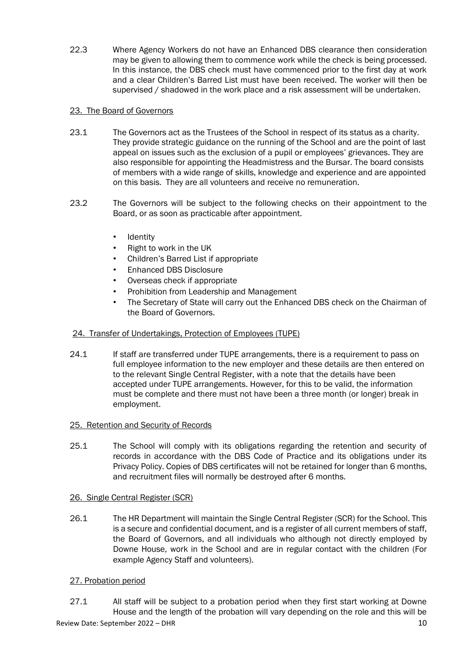22.3 Where Agency Workers do not have an Enhanced DBS clearance then consideration may be given to allowing them to commence work while the check is being processed. In this instance, the DBS check must have commenced prior to the first day at work and a clear Children's Barred List must have been received. The worker will then be supervised / shadowed in the work place and a risk assessment will be undertaken.

## 23. The Board of Governors

- 23.1 The Governors act as the Trustees of the School in respect of its status as a charity. They provide strategic guidance on the running of the School and are the point of last appeal on issues such as the exclusion of a pupil or employees' grievances. They are also responsible for appointing the Headmistress and the Bursar. The board consists of members with a wide range of skills, knowledge and experience and are appointed on this basis. They are all volunteers and receive no remuneration.
- 23.2 The Governors will be subject to the following checks on their appointment to the Board, or as soon as practicable after appointment.
	- Identity
	- Right to work in the UK
	- Children's Barred List if appropriate
	- Enhanced DBS Disclosure
	- Overseas check if appropriate
	- Prohibition from Leadership and Management
	- The Secretary of State will carry out the Enhanced DBS check on the Chairman of the Board of Governors.

## 24. Transfer of Undertakings, Protection of Employees (TUPE)

24.1 If staff are transferred under TUPE arrangements, there is a requirement to pass on full employee information to the new employer and these details are then entered on to the relevant Single Central Register, with a note that the details have been accepted under TUPE arrangements. However, for this to be valid, the information must be complete and there must not have been a three month (or longer) break in employment.

#### 25. Retention and Security of Records

25.1 The School will comply with its obligations regarding the retention and security of records in accordance with the DBS Code of Practice and its obligations under its Privacy Policy. Copies of DBS certificates will not be retained for longer than 6 months, and recruitment files will normally be destroyed after 6 months.

# 26. Single Central Register (SCR)

26.1 The HR Department will maintain the Single Central Register (SCR) for the School. This is a secure and confidential document, and is a register of all current members of staff, the Board of Governors, and all individuals who although not directly employed by Downe House, work in the School and are in regular contact with the children (For example Agency Staff and volunteers).

# 27. Probation period

27.1 All staff will be subject to a probation period when they first start working at Downe House and the length of the probation will vary depending on the role and this will be